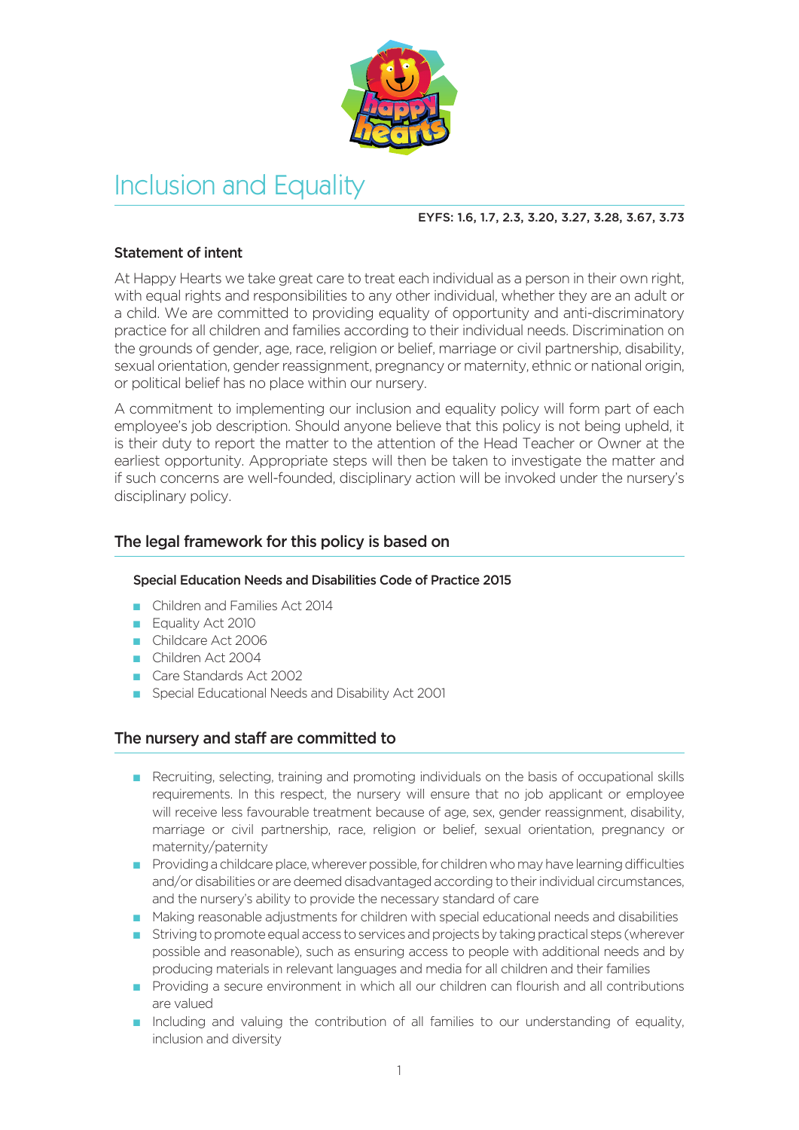

# Inclusion and Equality

## EYFS: 1.6, 1.7, 2.3, 3.20, 3.27, 3.28, 3.67, 3.73

## Statement of intent

At Happy Hearts we take great care to treat each individual as a person in their own right, with equal rights and responsibilities to any other individual, whether they are an adult or a child. We are committed to providing equality of opportunity and anti-discriminatory practice for all children and families according to their individual needs. Discrimination on the grounds of gender, age, race, religion or belief, marriage or civil partnership, disability, sexual orientation, gender reassignment, pregnancy or maternity, ethnic or national origin, or political belief has no place within our nursery.

A commitment to implementing our inclusion and equality policy will form part of each employee's job description. Should anyone believe that this policy is not being upheld, it is their duty to report the matter to the attention of the Head Teacher or Owner at the earliest opportunity. Appropriate steps will then be taken to investigate the matter and if such concerns are well-founded, disciplinary action will be invoked under the nursery's disciplinary policy.

# The legal framework for this policy is based on

## Special Education Needs and Disabilities Code of Practice 2015

- n Children and Families Act 2014
- **Equality Act 2010**
- n Childcare Act 2006
- n Children Act 2004
- n Care Standards Act 2002
- Special Educational Needs and Disability Act 2001

## The nursery and staff are committed to

- n Recruiting, selecting, training and promoting individuals on the basis of occupational skills requirements. In this respect, the nursery will ensure that no job applicant or employee will receive less favourable treatment because of age, sex, gender reassignment, disability, marriage or civil partnership, race, religion or belief, sexual orientation, pregnancy or maternity/paternity
- $\blacksquare$  Providing a childcare place, wherever possible, for children who may have learning difficulties and/or disabilities or are deemed disadvantaged according to their individual circumstances, and the nursery's ability to provide the necessary standard of care
- n Making reasonable adjustments for children with special educational needs and disabilities
- n Striving to promote equal access to services and projects by taking practical steps (wherever possible and reasonable), such as ensuring access to people with additional needs and by producing materials in relevant languages and media for all children and their families
- n Providing a secure environment in which all our children can flourish and all contributions are valued
- n Including and valuing the contribution of all families to our understanding of equality, inclusion and diversity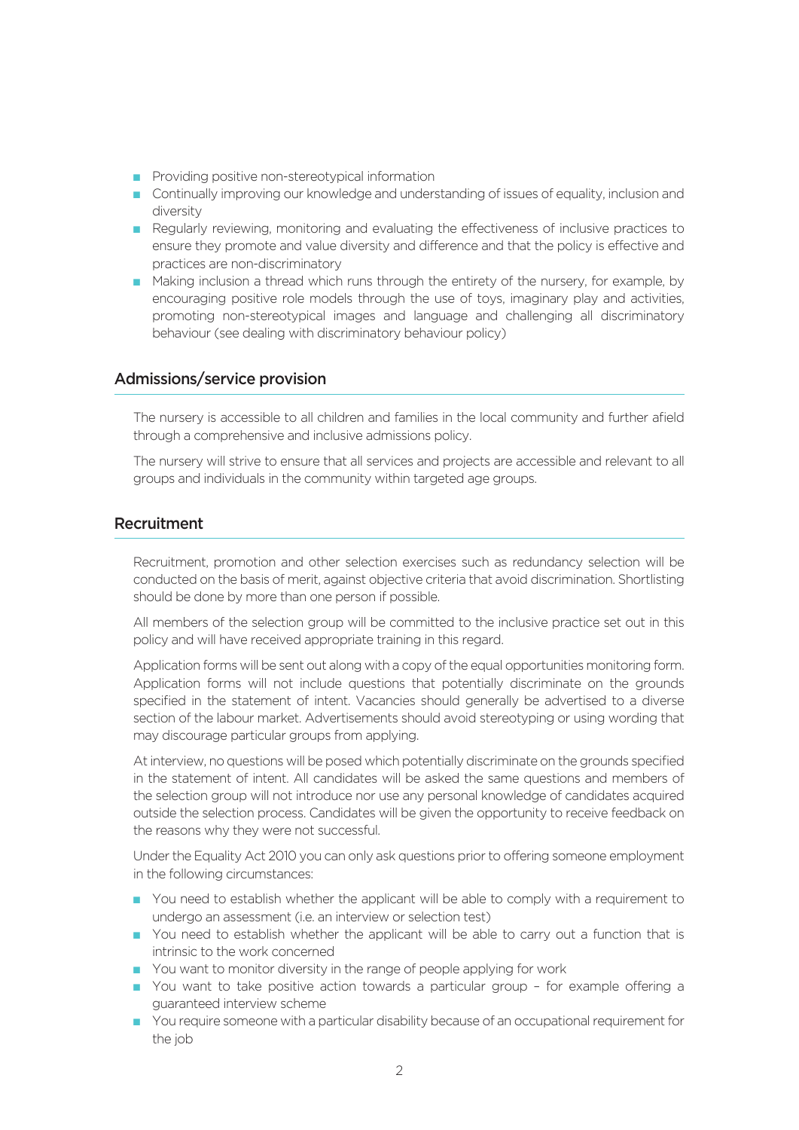- **n** Providing positive non-stereotypical information
- n Continually improving our knowledge and understanding of issues of equality, inclusion and diversity
- n Regularly reviewing, monitoring and evaluating the effectiveness of inclusive practices to ensure they promote and value diversity and difference and that the policy is effective and practices are non-discriminatory
- n Making inclusion a thread which runs through the entirety of the nursery, for example, by encouraging positive role models through the use of toys, imaginary play and activities, promoting non-stereotypical images and language and challenging all discriminatory behaviour (see dealing with discriminatory behaviour policy)

#### Admissions/service provision

The nursery is accessible to all children and families in the local community and further afield through a comprehensive and inclusive admissions policy.

The nursery will strive to ensure that all services and projects are accessible and relevant to all groups and individuals in the community within targeted age groups.

## Recruitment

Recruitment, promotion and other selection exercises such as redundancy selection will be conducted on the basis of merit, against objective criteria that avoid discrimination. Shortlisting should be done by more than one person if possible.

All members of the selection group will be committed to the inclusive practice set out in this policy and will have received appropriate training in this regard.

Application forms will be sent out along with a copy of the equal opportunities monitoring form. Application forms will not include questions that potentially discriminate on the grounds specified in the statement of intent. Vacancies should generally be advertised to a diverse section of the labour market. Advertisements should avoid stereotyping or using wording that may discourage particular groups from applying.

At interview, no questions will be posed which potentially discriminate on the grounds specified in the statement of intent. All candidates will be asked the same questions and members of the selection group will not introduce nor use any personal knowledge of candidates acquired outside the selection process. Candidates will be given the opportunity to receive feedback on the reasons why they were not successful.

Under the Equality Act 2010 you can only ask questions prior to offering someone employment in the following circumstances:

- n You need to establish whether the applicant will be able to comply with a requirement to undergo an assessment (i.e. an interview or selection test)
- n You need to establish whether the applicant will be able to carry out a function that is intrinsic to the work concerned
- **n** You want to monitor diversity in the range of people applying for work
- n You want to take positive action towards a particular group for example offering a guaranteed interview scheme
- n You require someone with a particular disability because of an occupational requirement for the job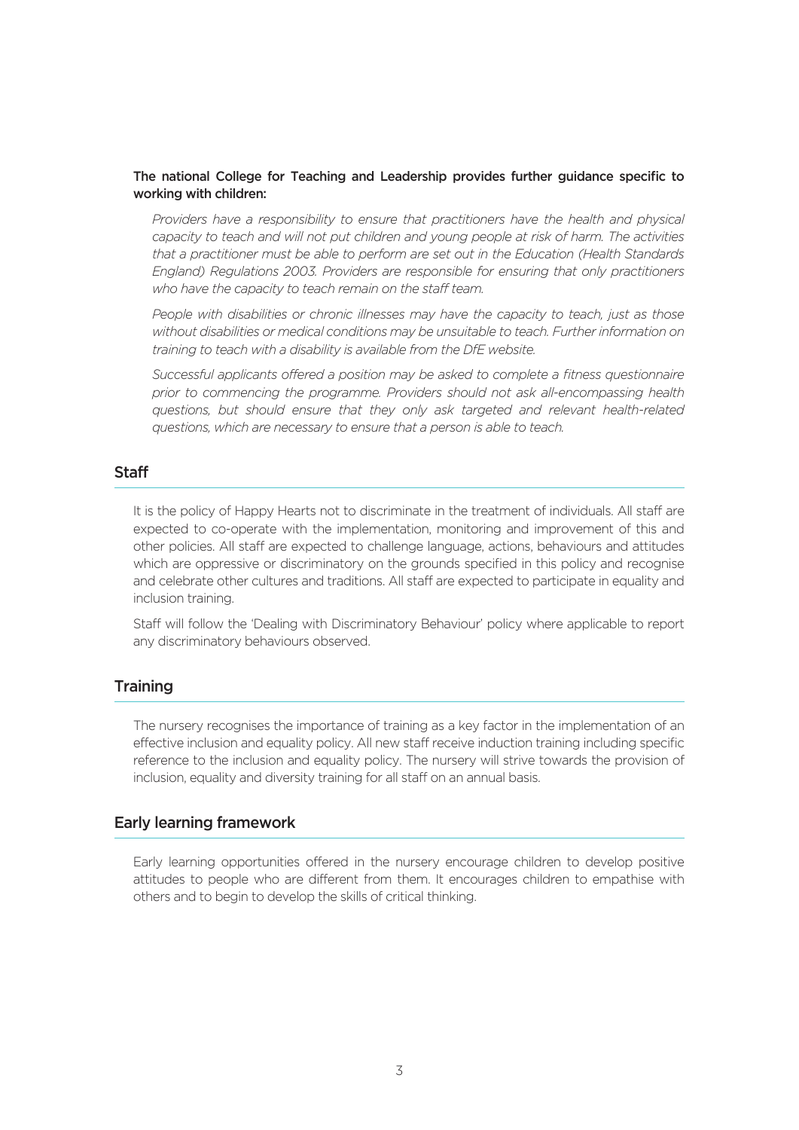#### The national College for Teaching and Leadership provides further guidance specific to working with children:

 *Providers have a responsibility to ensure that practitioners have the health and physical capacity to teach and will not put children and young people at risk of harm. The activities that a practitioner must be able to perform are set out in the Education (Health Standards England) Regulations 2003. Providers are responsible for ensuring that only practitioners who have the capacity to teach remain on the staff team.*

 *People with disabilities or chronic illnesses may have the capacity to teach, just as those without disabilities or medical conditions may be unsuitable to teach. Further information on training to teach with a disability is available from the DfE website.*

*Successful applicants offered a position may be asked to complete a fitness questionnaire prior to commencing the programme. Providers should not ask all-encompassing health questions, but should ensure that they only ask targeted and relevant health-related questions, which are necessary to ensure that a person is able to teach.*

## **Staff**

It is the policy of Happy Hearts not to discriminate in the treatment of individuals. All staff are expected to co-operate with the implementation, monitoring and improvement of this and other policies. All staff are expected to challenge language, actions, behaviours and attitudes which are oppressive or discriminatory on the grounds specified in this policy and recognise and celebrate other cultures and traditions. All staff are expected to participate in equality and inclusion training.

Staff will follow the 'Dealing with Discriminatory Behaviour' policy where applicable to report any discriminatory behaviours observed.

## **Training**

The nursery recognises the importance of training as a key factor in the implementation of an effective inclusion and equality policy. All new staff receive induction training including specific reference to the inclusion and equality policy. The nursery will strive towards the provision of inclusion, equality and diversity training for all staff on an annual basis.

## Early learning framework

Early learning opportunities offered in the nursery encourage children to develop positive attitudes to people who are different from them. It encourages children to empathise with others and to begin to develop the skills of critical thinking.